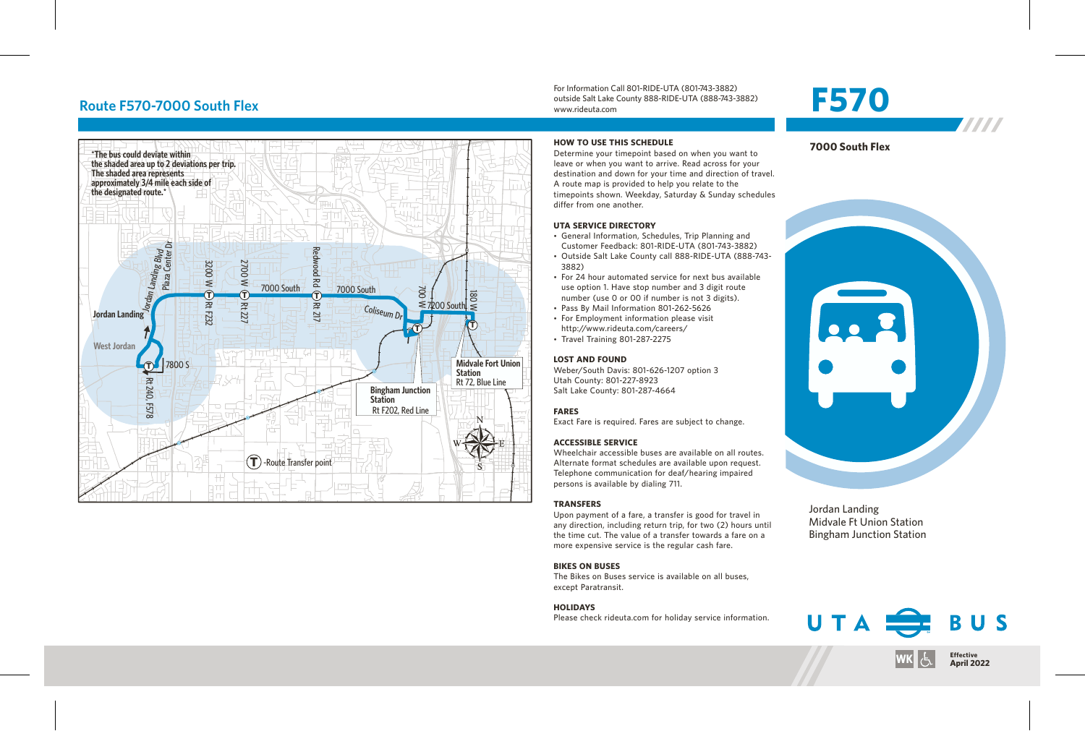#### **Route F570-7000 South Flex**



For Information Call 801-RIDE-UTA (801-743-3882) outside Salt Lake County 888-RIDE-UTA (888-743-3882) www.rideuta.com

Determine your timepoint based on when you want to

Customer Feedback: 801-RIDE-UTA (801-743-3882)

use option 1. Have stop number and 3 digit route number (use 0 or 00 if number is not 3 digits).

Upon payment of a fare, a transfer is good for travel in any direction, including return trip, for two (2) hours until the time cut. The value of a transfer towards a fare on a more expensive service is the regular cash fare.

The Bikes on Buses service is available on all buses,

Please check rideuta.com for holiday service information.

http://www.rideuta.com/careers/

**HOW TO USE THIS SCHEDULE**

3882)

**TRANSFERS**

**BIKES ON BUSES**

except Paratransit. **HOLIDAYS**





7777

Jordan Landing Midvale Ft Union Station Bingham Junction Station



# **F570**